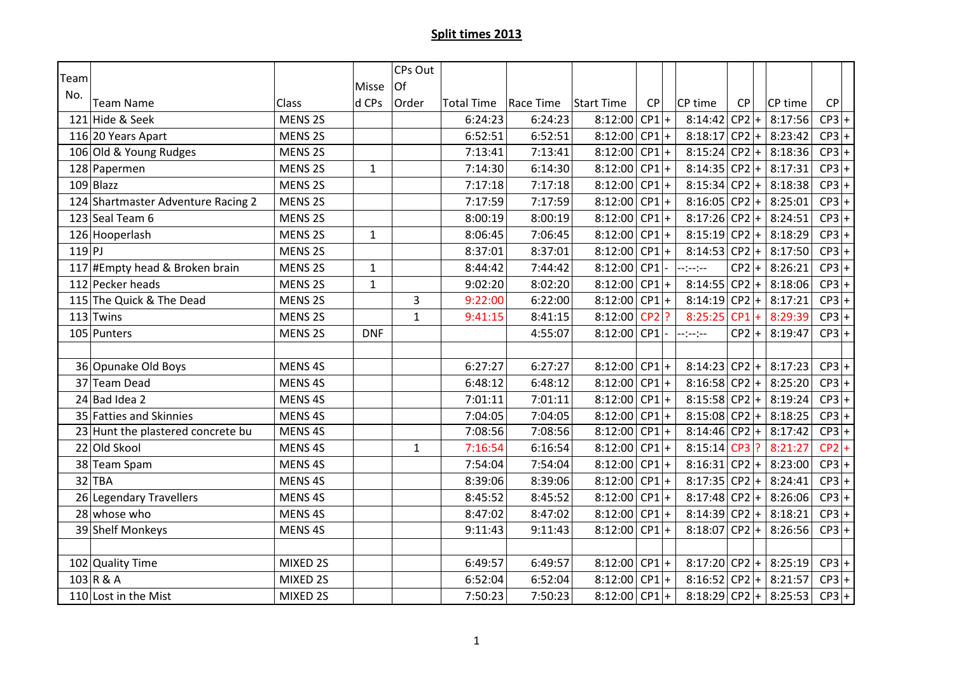| Team  |                                    |                    |              | CPs Out      |                   |           |                 |         |                 |         |                       |         |
|-------|------------------------------------|--------------------|--------------|--------------|-------------------|-----------|-----------------|---------|-----------------|---------|-----------------------|---------|
| No.   |                                    |                    | Misse        | Of           |                   |           |                 |         |                 |         |                       |         |
|       | <b>Team Name</b>                   | <b>Class</b>       | d CPs        | Order        | <b>Total Time</b> | Race Time | Start Time      | CP      | CP time         | CP      | CP time               | CP      |
|       | 121 Hide & Seek                    | MENS <sub>2S</sub> |              |              | 6:24:23           | 6:24:23   | 8:12:00         | $CP1$ + | $8:14:42 CP2 +$ |         | 8:17:56               | $CP3$ + |
|       | 116 20 Years Apart                 | MENS <sub>2S</sub> |              |              | 6:52:51           | 6:52:51   | 8:12:00 CP1 +   |         | $8:18:17$ CP2 + |         | 8:23:42               | $CP3$ + |
|       | 106 Old & Young Rudges             | MENS <sub>2S</sub> |              |              | 7:13:41           | 7:13:41   | 8:12:00         | $CP1$ + | $8:15:24$ CP2 + |         | 8:18:36               | $CP3$ + |
|       | 128 Papermen                       | MENS <sub>2S</sub> | $\mathbf{1}$ |              | 7:14:30           | 6:14:30   | $8:12:00$ CP1 + |         | $8:14:35 CP2 +$ |         | 8:17:31               | $CP3$ + |
|       | $109$ Blazz                        | MENS <sub>2S</sub> |              |              | 7:17:18           | 7:17:18   | 8:12:00         | $CP1+$  | $8:15:34 CP2 +$ |         | 8:18:38               | $CP3$ + |
|       | 124 Shartmaster Adventure Racing 2 | MENS <sub>2S</sub> |              |              | 7:17:59           | 7:17:59   | 8:12:00 CP1 +   |         | $8:16:05$ CP2 + |         | 8:25:01               | $CP3$ + |
|       | 123 Seal Team 6                    | MENS <sub>2S</sub> |              |              | 8:00:19           | 8:00:19   | 8:12:00         | $CP1$ + | $8:17:26 CP2 +$ |         | 8:24:51               | $CP3$ + |
|       | 126 Hooperlash                     | MENS <sub>2S</sub> | $\mathbf{1}$ |              | 8:06:45           | 7:06:45   | 8:12:00 CP1 +   |         | $8:15:19$ CP2 + |         | 8:18:29               | $CP3$ + |
| 119 P |                                    | MENS <sub>2S</sub> |              |              | 8:37:01           | 8:37:01   | 8:12:00         | $CP1$ + | $8:14:53 CP2 +$ |         | 8:17:50               | $CP3$ + |
|       | 117 #Empty head & Broken brain     | MENS 2S            | $\mathbf{1}$ |              | 8:44:42           | 7:44:42   | 8:12:00 CP1     |         | --:--:--        | $CP2$ + | 8:26:21               | $CP3$ + |
|       | 112 Pecker heads                   | MENS <sub>2S</sub> | $\mathbf 1$  |              | 9:02:20           | 8:02:20   | $8:12:00$ CP1 + |         | $8:14:55 CP2 +$ |         | 8:18:06               | $CP3$ + |
|       | 115 The Quick & The Dead           | <b>MENS 2S</b>     |              | 3            | 9:22:00           | 6:22:00   | 8:12:00 CP1 +   |         | $8:14:19$ CP2 + |         | 8:17:21               | $CP3$ + |
|       | $113$ Twins                        | MENS <sub>2S</sub> |              | $\mathbf{1}$ | 9:41:15           | 8:41:15   | 8:12:00         | $CP2$ ? | $8:25:25$ CP1 + |         | 8:29:39               | $CP3$ + |
|       | 105 Punters                        | MENS <sub>2S</sub> | <b>DNF</b>   |              |                   | 4:55:07   | 8:12:00 CP1     |         | --:--:--        | $CP2$ + | 8:19:47               | $CP3$ + |
|       |                                    |                    |              |              |                   |           |                 |         |                 |         |                       |         |
|       | 36 Opunake Old Boys                | MENS 4S            |              |              | 6:27:27           | 6:27:27   | $8:12:00$ CP1 + |         | $8:14:23$ CP2 + |         | 8:17:23               | $CP3$ + |
|       | 37 Team Dead                       | MENS 4S            |              |              | 6:48:12           | 6:48:12   | $8:12:00$ CP1 + |         | $8:16:58 CP2 +$ |         | 8:25:20               | $CP3$ + |
|       | $24$ Bad Idea 2                    | MENS <sub>4S</sub> |              |              | 7:01:11           | 7:01:11   | 8:12:00 CP1 +   |         | $8:15:58 CP2 +$ |         | 8:19:24               | $CP3$ + |
|       | 35 Fatties and Skinnies            | MENS 4S            |              |              | 7:04:05           | 7:04:05   | 8:12:00 CP1 +   |         | $8:15:08$ CP2 + |         | 8:18:25               | $CP3$ + |
|       | 23 Hunt the plastered concrete bu  | MENS 4S            |              |              | 7:08:56           | 7:08:56   | 8:12:00 CP1 +   |         | $8:14:46 CP2 +$ |         | 8:17:42               | $CP3$ + |
|       | 22 Old Skool                       | MENS <sub>4S</sub> |              | $\mathbf{1}$ | 7:16:54           | 6:16:54   | 8:12:00         | $CP1$ + | 8:15:14 CP3 ?   |         | 8:21:27               | $CP2$ + |
|       | 38 Team Spam                       | MENS 4S            |              |              | 7:54:04           | 7:54:04   | 8:12:00 CP1 +   |         | $8:16:31 CP2 +$ |         | 8:23:00               | $CP3$ + |
|       | $32$ TBA                           | MENS 4S            |              |              | 8:39:06           | 8:39:06   | 8:12:00         | $CP1$ + | $8:17:35 CP2 +$ |         | 8:24:41               | $CP3$ + |
|       | 26 Legendary Travellers            | MENS <sub>4S</sub> |              |              | 8:45:52           | 8:45:52   | 8:12:00 CP1 +   |         | $8:17:48$ CP2 + |         | 8:26:06               | $CP3$ + |
|       | 28 whose who                       | MENS 4S            |              |              | 8:47:02           | 8:47:02   | $8:12:00$ CP1 + |         | $8:14:39 CP2 +$ |         | 8:18:21               | $CP3$ + |
|       | 39 Shelf Monkeys                   | MENS <sub>4S</sub> |              |              | 9:11:43           | 9:11:43   | $8:12:00$ CP1 + |         | $8:18:07$ CP2 + |         | 8:26:56               | $CP3$ + |
|       |                                    |                    |              |              |                   |           |                 |         |                 |         |                       |         |
|       | 102 Quality Time                   | MIXED 2S           |              |              | 6:49:57           | 6:49:57   | 8:12:00 CP1 +   |         | $8:17:20$ CP2 + |         | 8:25:19               | $CP3$ + |
|       | $103$ R & A                        | MIXED 2S           |              |              | 6:52:04           | 6:52:04   | 8:12:00         | $CP1$ + | $8:16:52 CP2 +$ |         | 8:21:57               | $CP3$ + |
|       | 110 Lost in the Mist               | MIXED 2S           |              |              | 7:50:23           | 7:50:23   | $8:12:00$ CP1 + |         |                 |         | 8:18:29 CP2 + 8:25:53 | $CP3$ + |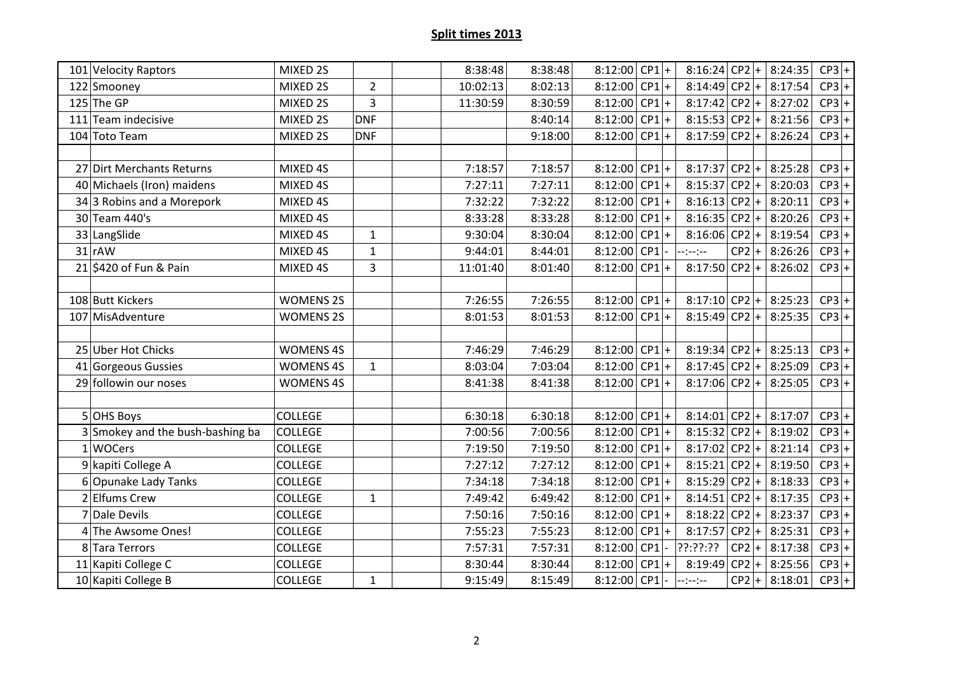| 101 Velocity Raptors             | MIXED 2S         |                | 8:38:48  | 8:38:48 | 8:12:00 CP1 +   |         | 8:16:24 CP2 + 8:24:35   |         |         | $CP3$ + |
|----------------------------------|------------------|----------------|----------|---------|-----------------|---------|-------------------------|---------|---------|---------|
| 122 Smooney                      | MIXED 2S         | $\overline{2}$ | 10:02:13 | 8:02:13 | 8:12:00 CP1 +   |         | $8:14:49$ CP2 + 8:17:54 |         |         | $CP3$ + |
| $125$ The GP                     | MIXED 2S         | 3              | 11:30:59 | 8:30:59 | 8:12:00 CP1 +   |         | $8:17:42$ CP2 +         |         | 8:27:02 | $CP3$ + |
| 111 Team indecisive              | MIXED 2S         | <b>DNF</b>     |          | 8:40:14 | $8:12:00$ CP1+  |         | $8:15:53$ CP2 +         |         | 8:21:56 | $CP3$ + |
| 104 Toto Team                    | MIXED 2S         | <b>DNF</b>     |          | 9:18:00 | 8:12:00         | $CP1$ + | $8:17:59$ CP2 +         |         | 8:26:24 | $CP3$ + |
|                                  |                  |                |          |         |                 |         |                         |         |         |         |
| 27 Dirt Merchants Returns        | MIXED 4S         |                | 7:18:57  | 7:18:57 | $8:12:00$ CP1+  |         | $8:17:37$ CP2 +         |         | 8:25:28 | $CP3$ + |
| 40 Michaels (Iron) maidens       | MIXED 4S         |                | 7:27:11  | 7:27:11 | 8:12:00 CP1 +   |         | $8:15:37 CP2 +$         |         | 8:20:03 | $CP3$ + |
| $34$ 3 Robins and a Morepork     | MIXED 4S         |                | 7:32:22  | 7:32:22 | 8:12:00 CP1 +   |         | $8:16:13$ CP2 +         |         | 8:20:11 | $CP3$ + |
| 30 Team 440's                    | MIXED 4S         |                | 8:33:28  | 8:33:28 | $8:12:00$ CP1 + |         | $8:16:35 CP2 +$         |         | 8:20:26 | $CP3$ + |
| 33 LangSlide                     | MIXED 4S         | $\mathbf{1}$   | 9:30:04  | 8:30:04 | 8:12:00 CP1 +   |         | $8:16:06 CP2 +$         |         | 8:19:54 | $CP3$ + |
| $31$ rAW                         | MIXED 4S         | $\mathbf{1}$   | 9:44:01  | 8:44:01 | 8:12:00 CP1     |         | --:--:--                | $CP2$ + | 8:26:26 | $CP3$ + |
| 21 \$420 of Fun & Pain           | MIXED 4S         | 3              | 11:01:40 | 8:01:40 | $8:12:00$ CP1 + |         | $8:17:50 CP2 +$         |         | 8:26:02 | $CP3$ + |
|                                  |                  |                |          |         |                 |         |                         |         |         |         |
| 108 Butt Kickers                 | <b>WOMENS 2S</b> |                | 7:26:55  | 7:26:55 | 8:12:00 CP1 +   |         | $8:17:10$ CP2 +         |         | 8:25:23 | $CP3$ + |
| 107 MisAdventure                 | <b>WOMENS 2S</b> |                | 8:01:53  | 8:01:53 | $8:12:00$ CP1 + |         | $8:15:49$ CP2 +         |         | 8:25:35 | $CP3$ + |
|                                  |                  |                |          |         |                 |         |                         |         |         |         |
| 25 Uber Hot Chicks               | <b>WOMENS 4S</b> |                | 7:46:29  | 7:46:29 | 8:12:00 CP1 +   |         | $8:19:34$ CP2 +         |         | 8:25:13 | $CP3$ + |
| 41 Gorgeous Gussies              | <b>WOMENS 4S</b> | $\mathbf{1}$   | 8:03:04  | 7:03:04 | $8:12:00$ CP1 + |         | $8:17:45$ CP2 + 8:25:09 |         |         | $CP3$ + |
| 29 followin our noses            | <b>WOMENS 4S</b> |                | 8:41:38  | 8:41:38 | 8:12:00         | $CP1$ + | $8:17:06$ CP2 +         |         | 8:25:05 | $CP3$ + |
|                                  |                  |                |          |         |                 |         |                         |         |         |         |
| 5 OHS Boys                       | <b>COLLEGE</b>   |                | 6:30:18  | 6:30:18 | $8:12:00$ CP1+  |         | $8:14:01 CP2 +$         |         | 8:17:07 | $CP3$ + |
| 3 Smokey and the bush-bashing ba | <b>COLLEGE</b>   |                | 7:00:56  | 7:00:56 | 8:12:00 CP1 +   |         | $8:15:32$ CP2 +         |         | 8:19:02 | $CP3$ + |
| 1 WOCers                         | <b>COLLEGE</b>   |                | 7:19:50  | 7:19:50 | 8:12:00 CP1 +   |         | $8:17:02$ CP2 +         |         | 8:21:14 | $CP3$ + |
| 9 kapiti College A               | <b>COLLEGE</b>   |                | 7:27:12  | 7:27:12 | 8:12:00 CP1 +   |         | $8:15:21 CP2 +$         |         | 8:19:50 | $CP3$ + |
| 6 Opunake Lady Tanks             | <b>COLLEGE</b>   |                | 7:34:18  | 7:34:18 | 8:12:00 CP1 +   |         | $8:15:29$ CP2 +         |         | 8:18:33 | $CP3$ + |
| 2 Elfums Crew                    | <b>COLLEGE</b>   | $\mathbf{1}$   | 7:49:42  | 6:49:42 | 8:12:00 CP1 +   |         | $8:14:51 CP2 +$         |         | 8:17:35 | $CP3$ + |
| 7 Dale Devils                    | <b>COLLEGE</b>   |                | 7:50:16  | 7:50:16 | 8:12:00 CP1 +   |         | $8:18:22 CP2 +$         |         | 8:23:37 | $CP3$ + |
| 4 The Awsome Ones!               | <b>COLLEGE</b>   |                | 7:55:23  | 7:55:23 | 8:12:00         | $CP1$ + | $8:17:57$ CP2 +         |         | 8:25:31 | $CP3$ + |
| 8 Tara Terrors                   | <b>COLLEGE</b>   |                | 7:57:31  | 7:57:31 | 8:12:00 CP1 -   |         | ??:??:??                | $CP2$ + | 8:17:38 | $CP3$ + |
| 11 Kapiti College C              | <b>COLLEGE</b>   |                | 8:30:44  | 8:30:44 | 8:12:00 CP1 +   |         | $8:19:49$ CP2 +         |         | 8:25:56 | $CP3$ + |
| 10 Kapiti College B              | <b>COLLEGE</b>   | $\mathbf 1$    | 9:15:49  | 8:15:49 | 8:12:00 CP1     |         | --:--:--                | $CP2$ + | 8:18:01 | $CP3$ + |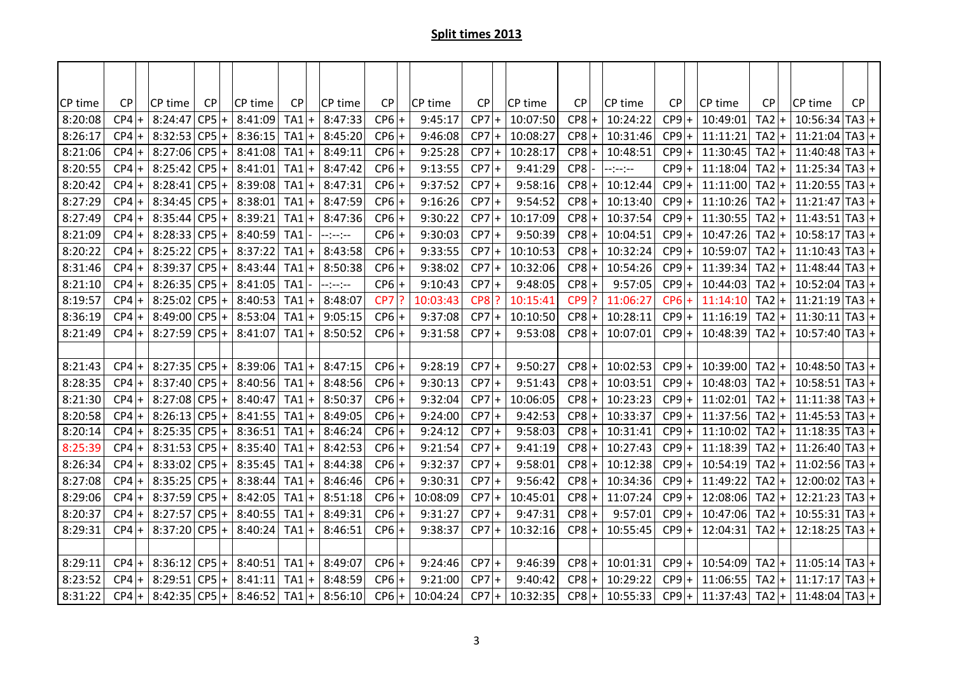| CP time | <b>CP</b> |       | CP time     | <b>CP</b>       | CP time                 | <b>CP</b>       |                    | CP time  | <b>CP</b> | CP time  | <b>CP</b> | CP time  | <b>CP</b> | CP time  | <b>CP</b> |           | CP time  | <b>CP</b>       | CP time          | <b>CP</b> |        |
|---------|-----------|-------|-------------|-----------------|-------------------------|-----------------|--------------------|----------|-----------|----------|-----------|----------|-----------|----------|-----------|-----------|----------|-----------------|------------------|-----------|--------|
| 8:20:08 | $CP4$ +   |       | 8:24:47     | CP5<br>$+$      | 8:41:09                 | TA1             | $\overline{+}$     | 8:47:33  | $CP6$ +   | 9:45:17  | $CP7$ +   | 10:07:50 | $CP8$ +   | 10:24:22 | $CP9$ +   |           | 10:49:01 | TA2             | 10:56:34         | $TA3+$    |        |
| 8:26:17 | $CP4$ +   |       |             | $8:32:53 CP5 +$ | 8:36:15                 | TA1             | $ + $              | 8:45:20  | $CP6$ +   | 9:46:08  | $CP7$ +   | 10:08:27 | $CP8$ +   | 10:31:46 | $CP9$ +   |           | 11:11:21 | $TA2$ +         | 11:21:04         | $ TA3 +$  |        |
| 8:21:06 | $CP4$ +   |       | 8:27:06     | $CP5+$          | 8:41:08                 | $TA1$ +         |                    | 8:49:11  | $CP6$ +   | 9:25:28  | $CP7$ +   | 10:28:17 | $CP8$ +   | 10:48:51 | $CP9$ +   |           | 11:30:45 | $TA2$ +         | $11:40:48$ TA3 + |           |        |
| 8:20:55 | $CP4$ +   |       |             | $8:25:42$ CP5 + | 8:41:01                 | $TA1$ +         |                    | 8:47:42  | $CP6$ +   | 9:13:55  | $CP7$ +   | 9:41:29  | CP8       | --:--:-- | $CP9$ +   |           | 11:18:04 | $TA2$ +         | $11:25:34$ TA3 + |           |        |
| 8:20:42 | $CP4$ +   |       | 8:28:41     | $CP5+$          | 8:39:08                 | TA1             | $\ddot{}$          | 8:47:31  | $CP6$ +   | 9:37:52  | $CP7$ +   | 9:58:16  | $CP8$ +   | 10:12:44 | CP9       |           | 11:11:00 | TA <sub>2</sub> | $11:20:55$ TA3 + |           |        |
| 8:27:29 | $CP4$ +   |       | 8:34:45     | $CP5+$          | 8:38:01                 | TA1             | $\left  + \right $ | 8:47:59  | $CP6$ +   | 9:16:26  | $CP7$ +   | 9:54:52  | $CP8$ +   | 10:13:40 | $CP9$ +   |           | 11:10:26 | $TA2$ +         | 11:21:47         | $TA3$ +   |        |
| 8:27:49 | $CP4$ +   |       | 8:35:44     | $CP5+$          | 8:39:21                 | TA1             | $\mathsf{I}$       | 8:47:36  | $CP6 +$   | 9:30:22  | $CP7$ +   | 10:17:09 | $CP8$ +   | 10:37:54 | $CP9$ +   |           | 11:30:55 | $TA2$ +         | $11:43:51$ TA3 + |           |        |
| 8:21:09 | $CP4$ +   |       |             | $8:28:33 CP5 +$ | 8:40:59                 | TA <sub>1</sub> |                    | --:--:-- | $CP6 +$   | 9:30:03  | $CP7$ +   | 9:50:39  | $CP8$ +   | 10:04:51 | $CP9$ +   |           | 10:47:26 | $TA2$ +         | $10:58:17$ TA3 + |           |        |
| 8:20:22 | $CP4$ +   |       |             | $8:25:22$ CP5 + | 8:37:22                 | TA1             | $\ddot{}$          | 8:43:58  | $CP6 +$   | 9:33:55  | $CP7$ +   | 10:10:53 | $CP8$ +   | 10:32:24 | CP9       | $\ddot{}$ | 10:59:07 | TA <sub>2</sub> | $11:10:43$ TA3   |           | $^{+}$ |
| 8:31:46 | $CP4$ +   |       | 8:39:37     | $CP5+$          | 8:43:44                 | TA <sub>1</sub> | $\ddot{}$          | 8:50:38  | $CP6$ +   | 9:38:02  | $CP7$ +   | 10:32:06 | $CP8$ +   | 10:54:26 | $CP9$ +   |           | 11:39:34 | $TA2$ +         | $11:48:44$ TA3 + |           |        |
| 8:21:10 | $CP4$ +   |       |             | $8:26:35$ CP5 + | 8:41:05                 | TA1             |                    | --:--:-- | $CP6$ +   | 9:10:43  | $CP7$ +   | 9:48:05  | $CP8$ +   | 9:57:05  | $CP9$ +   |           | 10:44:03 | $TA2$ +         | $10:52:04$ TA3 + |           |        |
| 8:19:57 | $CP4$ +   |       |             | $8:25:02$ CP5 + | 8:40:53                 | $TA1$ +         |                    | 8:48:07  | CP7       | 10:03:43 | $CP8$ ?   | 10:15:41 | $CP9$ ?   | 11:06:27 | $CP6$ +   |           | 11:14:10 | $TA2$ +         | $11:21:19$ TA3 + |           |        |
| 8:36:19 | $CP4$ +   |       | 8:49:00 CP5 | $+$             | 8:53:04                 | TA1             | $\ddot{}$          | 9:05:15  | $CP6$ +   | 9:37:08  | $CP7$ +   | 10:10:50 | $CP8$ +   | 10:28:11 | CP9       |           | 11:16:19 | TA <sub>2</sub> | $11:30:11$ TA3 + |           |        |
| 8:21:49 | $CP4$ +   |       | 8:27:59     | $CP5+$          | 8:41:07                 | TA1             | $\ddot{}$          | 8:50:52  | $CP6$ +   | 9:31:58  | $CP7$ +   | 9:53:08  | $CP8$ +   | 10:07:01 | $CP9$ +   |           | 10:48:39 | $TA2$ +         | $10:57:40$ TA3 + |           |        |
|         |           |       |             |                 |                         |                 |                    |          |           |          |           |          |           |          |           |           |          |                 |                  |           |        |
| 8:21:43 | $CP4$ +   |       |             | $8:27:35 CP5 +$ | 8:39:06                 | TA <sub>1</sub> | $\left  + \right $ | 8:47:15  | $CP6$ +   | 9:28:19  | $CP7$ +   | 9:50:27  | $CP8$ +   | 10:02:53 | $CP9$ +   |           | 10:39:00 | $TA2$ +         | $10:48:50$ TA3 + |           |        |
| 8:28:35 | $CP4$ +   |       |             | $8:37:40$ CP5 + | 8:40:56                 | TA <sub>1</sub> | $\ddot{}$          | 8:48:56  | $CP6$ +   | 9:30:13  | $CP7$ +   | 9:51:43  | $CP8$ +   | 10:03:51 | CP9       | $+$       | 10:48:03 | TA <sub>2</sub> | $10:58:51$ TA3 + |           |        |
| 8:21:30 | CP4       | $ + $ |             | $8:27:08$ CP5 + | 8:40:47                 | TA <sub>1</sub> | $\ddot{}$          | 8:50:37  | $CP6$ +   | 9:32:04  | $CP7$ +   | 10:06:05 | $CP8$ +   | 10:23:23 | $CP9$ +   |           | 11:02:01 | $TA2$ +         | 11:11:38         | $TA3$ +   |        |
| 8:20:58 | $CP4$ +   |       |             | $8:26:13 CP5 +$ | 8:41:55                 | $TA1$ +         |                    | 8:49:05  | $CP6$ +   | 9:24:00  | $CP7$ +   | 9:42:53  | $CP8$ +   | 10:33:37 | $CP9$ +   |           | 11:37:56 | $TA2$ +         | $11:45:53$ TA3 + |           |        |
| 8:20:14 | $CP4$ +   |       |             | $8:25:35 CP5 +$ | 8:36:51                 | $TA1$ +         |                    | 8:46:24  | $CP6$ +   | 9:24:12  | $CP7$ +   | 9:58:03  | $CP8$ +   | 10:31:41 | $CP9$ +   |           | 11:10:02 | $TA2$ +         | $11:18:35$ TA3 + |           |        |
| 8:25:39 | $CP4$ +   |       |             | $8:31:53 CP5 +$ | 8:35:40                 | TA1             | $\ddot{}$          | 8:42:53  | $CP6$ +   | 9:21:54  | $CP7$ +   | 9:41:19  | $CP8$ +   | 10:27:43 | CP9       | $+$       | 11:18:39 | TA <sub>2</sub> | $11:26:40$ TA3 + |           |        |
| 8:26:34 | CP4       | $ + $ | 8:33:02 CP5 | $\ddot{}$       | 8:35:45                 | TA1             | $\ddot{}$          | 8:44:38  | $CP6$ +   | 9:32:37  | $CP7$ +   | 9:58:01  | $CP8$ +   | 10:12:38 | CP9       | $+$       | 10:54:19 | $TA2$ +         | $11:02:56$ TA3 + |           |        |
| 8:27:08 | $CP4$ +   |       |             | $8:35:25$ CP5 + | 8:38:44                 | $TA1$ +         |                    | 8:46:46  | $CP6$ +   | 9:30:31  | $CP7$ +   | 9:56:42  | $CP8$ +   | 10:34:36 | $CP9$ +   |           | 11:49:22 | $TA2$ +         | $12:00:02$ TA3 + |           |        |
| 8:29:06 | $CP4$ +   |       | 8:37:59 CP5 | $\ddot{}$       | 8:42:05                 | TA1             | $\overline{+}$     | 8:51:18  | $CP6 +$   | 10:08:09 | $CP7$ +   | 10:45:01 | $CP8$ +   | 11:07:24 | CP9       | $+$       | 12:08:06 | $TA2$ +         | $12:21:23$ TA3 + |           |        |
| 8:20:37 | $CP4$ +   |       | 8:27:57     | $CP5+$          | 8:40:55                 | TA1             | $\ddot{}$          | 8:49:31  | $CP6$ +   | 9:31:27  | $CP7$ +   | 9:47:31  | $CP8$ +   | 9:57:01  | CP9       |           | 10:47:06 | TA <sub>2</sub> | $10:55:31$ TA3 + |           |        |
| 8:29:31 | $CP4$ +   |       | 8:37:20     | $CP5+$          | 8:40:24                 | TA <sub>1</sub> | $\ddot{}$          | 8:46:51  | $CP6$ +   | 9:38:37  | $CP7$ +   | 10:32:16 | $CP8$ +   | 10:55:45 | CP9       | $+$       | 12:04:31 | $TA2$ +         | $12:18:25$ TA3 + |           |        |
|         |           |       |             |                 |                         |                 |                    |          |           |          |           |          |           |          |           |           |          |                 |                  |           |        |
| 8:29:11 | $CP4$ +   |       |             | $8:36:12$ CP5 + | 8:40:51                 | $TA1$ +         |                    | 8:49:07  | $CP6$ +   | 9:24:46  | $CP7$ +   | 9:46:39  | $CP8$ +   | 10:01:31 | $CP9$ +   |           | 10:54:09 | $TA2$ +         | $11:05:14$ TA3 + |           |        |
| 8:23:52 | $CP4$ +   |       | 8:29:51 CP5 | $+$             | 8:41:11                 | TA1             | $\ddot{}$          | 8:48:59  | $CP6$ +   | 9:21:00  | $CP7$ +   | 9:40:42  | $CP8$ +   | 10:29:22 | CP9       |           | 11:06:55 | TA <sub>2</sub> | $11:17:17$ TA3 + |           |        |
| 8:31:22 | $CP4$ +   |       |             |                 | $8:42:35 CP5 + 8:46:52$ | $TA1$ +         |                    | 8:56:10  | $CP6$ +   | 10:04:24 | $CP7$ +   | 10:32:35 | $CP8$ +   | 10:55:33 | $CP9$ +   |           | 11:37:43 | $TA2$ +         | $11:48:04$ TA3 + |           |        |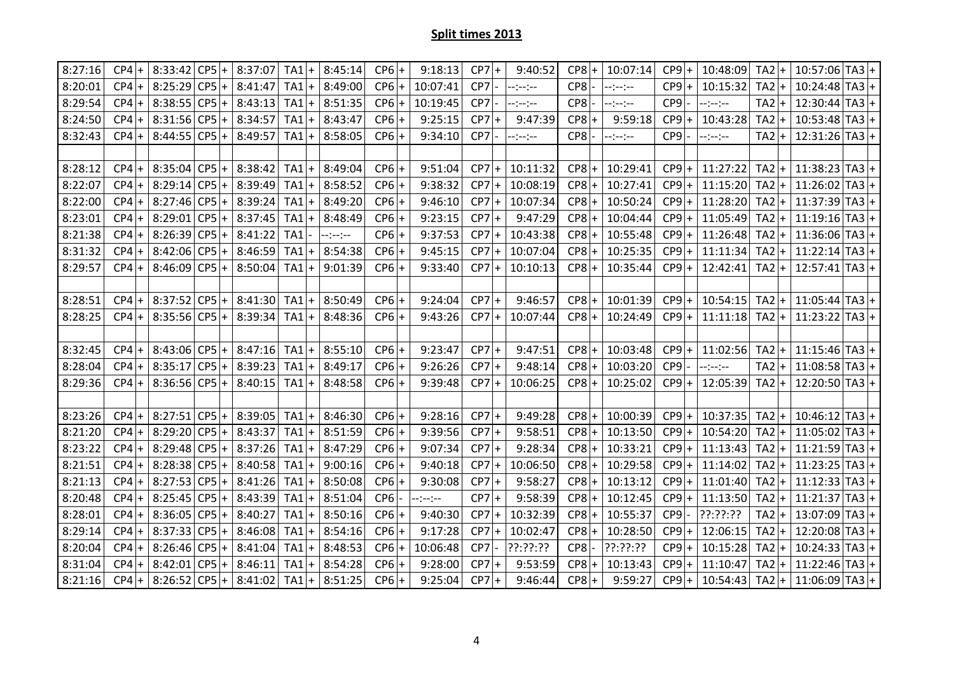| 8:27:16 | $CP4$ + | 8:33:42         |          | $ CP5  +  8:37:07$      | TA1             | $\ddot{}$      | 8:45:14  | $CP6$ +         | 9:18:13  | $CP7$ + |        | 9:40:52          | $CP8$ + | 10:07:14 | $CP9$ +         | 10:48:09 | $TA2$ +                      | $10:57:06$ TA3 + |  |
|---------|---------|-----------------|----------|-------------------------|-----------------|----------------|----------|-----------------|----------|---------|--------|------------------|---------|----------|-----------------|----------|------------------------------|------------------|--|
| 8:20:01 | $CP4$ + | 8:25:29         |          | $CP5 + 8:41:47$         | TA1             | $\overline{+}$ | 8:49:00  | $CP6$ +         | 10:07:41 | CP7     |        | $-2 - 2 - 2 - 1$ | $CP8$ - | --:--:-- | $CP9$ +         | 10:15:32 | $TA2$ +                      | $10:24:48$ TA3 + |  |
| 8:29:54 | $CP4$ + | 8:38:55         | $ CP5 +$ | 8:43:13                 | TA1             | $\overline{+}$ | 8:51:35  | $CP6$ +         | 10:19:45 | CP7     |        | --:--:--         | CP8     | --:--:-- | CP9             | --:--:-- | TA <sub>2</sub>              | $12:30:44$ TA3 + |  |
| 8:24:50 | $CP4$ + | 8:31:56         | $ CP5 +$ | 8:34:57                 | TA1             | $\ddot{}$      | 8:43:47  | $CP6$ +         | 9:25:15  | $CP7$ + |        | 9:47:39          | $CP8$ + | 9:59:18  | $CP9$ +         | 10:43:28 | TA2<br>$+$                   | $10:53:48$ TA3 + |  |
| 8:32:43 | $CP4$ + | 8:44:55         | $ CP5 +$ | 8:49:57                 | TA1             | $\ddot{}$      | 8:58:05  | $CP6$ +         | 9:34:10  | CP7     |        | $-(-)$           | $CP8$ - | --:--:-- | CP9             | $-(-)$   | TA <sub>2</sub>              | $12:31:26$ TA3 + |  |
|         |         |                 |          |                         |                 |                |          |                 |          |         |        |                  |         |          |                 |          |                              |                  |  |
| 8:28:12 | $CP4$ + | 8:35:04         | $CP5+$   | 8:38:42                 | TA1             | $\ddot{}$      | 8:49:04  | $CP6$ +         | 9:51:04  | $CP7$ + |        | 10:11:32         | $CP8$ + | 10:29:41 | $CP9$ +         | 11:27:22 | $TA2$ +                      | $11:38:23$ TA3 + |  |
| 8:22:07 | $CP4$ + | 8:29:14         | $CP5$ +  | 8:39:49                 | TA1             | $\ddot{}$      | 8:58:52  | $CP6$ +         | 9:38:32  | $CP7$ + |        | 10:08:19         | $CP8$ + | 10:27:41 | $CP9$ +         | 11:15:20 | TA <sub>2</sub><br>$+$       | $11:26:02$ TA3 + |  |
| 8:22:00 | $CP4$ + | 8:27:46         | $CP5$ +  | 8:39:24                 | TA1             | $\ddot{}$      | 8:49:20  | $CP6$ +         | 9:46:10  | CP7     | l+     | 10:07:34         | $CP8$ + | 10:50:24 | $CP9$ +         | 11:28:20 | TA <sub>2</sub><br>$\ddot{}$ | $11:37:39$ TA3 + |  |
| 8:23:01 | $CP4$ + | 8:29:01         | $CP5 +$  | 8:37:45                 | TA <sub>1</sub> | $\ddot{}$      | 8:48:49  | $CP6$ +         | 9:23:15  | $CP7$ + |        | 9:47:29          | $CP8$ + | 10:04:44 | $CP9$ +         | 11:05:49 | $TA2$ +                      | $11:19:16$ TA3 + |  |
| 8:21:38 | $CP4$ + | 8:26:39         | $CP5$ +  | 8:41:22                 | TA1             |                | --:--:-- | $CP6$ +         | 9:37:53  | $CP7$ + |        | 10:43:38         | $CP8$ + | 10:55:48 | $CP9$ +         | 11:26:48 | $TA2$ +                      | $11:36:06$ TA3 + |  |
| 8:31:32 | $CP4$ + | 8:42:06         | $CP5$ +  | 8:46:59                 | TA1             | $\ddot{}$      | 8:54:38  | $CP6$ +         | 9:45:15  | CP7     | l+     | 10:07:04         | $CP8$ + | 10:25:35 | $CP9$ +         | 11:11:34 | TA <sub>2</sub>              | $11:22:14 TA3 +$ |  |
| 8:29:57 | $CP4$ + | 8:46:09         | $CP5$ +  | 8:50:04                 | TA1             | $\ddot{}$      | 9:01:39  | $CP6$ +         | 9:33:40  | $CP7$ + |        | 10:10:13         | $CP8$ + | 10:35:44 | $CP9$ +         | 12:42:41 | $TA2$ +                      | $12:57:41 TA3 +$ |  |
|         |         |                 |          |                         |                 |                |          |                 |          |         |        |                  |         |          |                 |          |                              |                  |  |
| 8:28:51 | $CP4$ + | 8:37:52         | $ CP5 +$ | 8:41:30                 | TA1             | $\ddot{}$      | 8:50:49  | $CP6$ +         | 9:24:04  | $CP7$ + |        | 9:46:57          | $CP8$ + | 10:01:39 | $CP9$ +         | 10:54:15 | TA <sub>2</sub><br>$+$       | $11:05:44$ TA3 + |  |
| 8:28:25 | $CP4$ + |                 |          | $8:35:56 CP5 + 8:39:34$ | TA1             | $\ddot{}$      | 8:48:36  | $CP6$ +         | 9:43:26  | $CP7$ + |        | 10:07:44         | $CP8$ + | 10:24:49 | $CP9$ +         | 11:11:18 | $TA2 +$                      | $11:23:22 TA3 +$ |  |
|         |         |                 |          |                         |                 |                |          |                 |          |         |        |                  |         |          |                 |          |                              |                  |  |
| 8:32:45 | $CP4$ + | $8:43:06 CP5 +$ |          | 8:47:16                 | TA1             |                | 8:55:10  | $CP6$ +         | 9:23:47  | $CP7$ + |        | 9:47:51          | $CP8$ + | 10:03:48 | $CP9$ +         | 11:02:56 | TA <sub>2</sub>              | $11:15:46$ TA3 + |  |
| 8:28:04 | $CP4$ + | 8:35:17         | $CP5$ +  | 8:39:23                 | TA1             | $\ddot{}$      | 8:49:17  | $CP6$ +         | 9:26:26  | $CP7$ + |        | 9:48:14          | $CP8$ + | 10:03:20 | CP9             | $-(-1)$  | TA <sub>2</sub><br>$+$       | $11:08:58$ TA3 + |  |
| 8:29:36 | $CP4$ + | 8:36:56         | $CP5$ +  | 8:40:15                 | TA1             | $\overline{1}$ | 8:48:58  | $CP6$ +         | 9:39:48  | $CP7$ + |        | 10:06:25         | $CP8$ + | 10:25:02 | $CP9$ +         | 12:05:39 | TA <sub>2</sub>              | $12:20:50$ TA3 + |  |
|         |         |                 |          |                         |                 |                |          |                 |          |         |        |                  |         |          |                 |          |                              |                  |  |
| 8:23:26 | $CP4$ + | $8:27:51 CP5 +$ |          | 8:39:05                 | $TA1$ +         |                | 8:46:30  | $CP6$ +         | 9:28:16  | $CP7$ + |        | 9:49:28          | $CP8$ + | 10:00:39 | $CP9$ +         | 10:37:35 | $TA2$ +                      | $10:46:12$ TA3 + |  |
| 8:21:20 | $CP4$ + | 8:29:20         |          | $CP5 + 8:43:37$         | TA1             | $\ddot{}$      | 8:51:59  | $CP6$ +         | 9:39:56  | $CP7$ + |        | 9:58:51          | $CP8$ + | 10:13:50 | $CP9$ +         | 10:54:20 | $TA2$ +                      | $11:05:02$ TA3 + |  |
| 8:23:22 | $CP4$ + | 8:29:48         | $CP5$ +  | 8:37:26                 | TA1             | $\overline{1}$ | 8:47:29  | $CP6$ +         | 9:07:34  | CP7     | l+     | 9:28:34          | $CP8$ + | 10:33:21 | CP9<br>$+$      | 11:13:43 | TA <sub>2</sub>              | $11:21:59 TA3 +$ |  |
| 8:21:51 | $CP4$ + | 8:28:38         | $CP5 +$  | 8:40:58                 | TA1             | $\ddot{}$      | 9:00:16  | $CP6$ +         | 9:40:18  | $CP7$ + |        | 10:06:50         | $CP8$ + | 10:29:58 | $CP9$ +         | 11:14:02 | $TA2$ +                      | $11:23:25$ TA3 + |  |
| 8:21:13 | $CP4$ + | 8:27:53         | $CP5$ +  | 8:41:26                 | TA1             | $\ddot{}$      | 8:50:08  | $CP6$ +         | 9:30:08  | $CP7$ + |        | 9:58:27          | $CP8$ + | 10:13:12 | $CP9$ +         | 11:01:40 | TA2<br>$+$                   | $11:12:33 TA3 +$ |  |
| 8:20:48 | $CP4$ + | 8:25:45         | $CP5$ +  | 8:43:39                 | TA1             |                | 8:51:04  | CP <sub>6</sub> | --:--:-- | $CP7$ + |        | 9:58:39          | $CP8$ + | 10:12:45 | $CP9$ +         | 11:13:50 | TA <sub>2</sub><br>$+$       | $11:21:37$ TA3 + |  |
| 8:28:01 | $CP4$ + | 8:36:05         | $CP5+$   | 8:40:27                 | TA1             | $\ddot{}$      | 8:50:16  | $CP6$ +         | 9:40:30  | CP7     | $^{+}$ | 10:32:39         | $CP8$ + | 10:55:37 | CP <sub>9</sub> | ??:??:?? | $TA2 +$                      | $13:07:09$ TA3 + |  |
| 8:29:14 | $CP4$ + | 8:37:33         | $CP5$ +  | 8:46:08                 | TA1             | $\ddot{}$      | 8:54:16  | $CP6$ +         | 9:17:28  | $CP7$ + |        | 10:02:47         | $CP8$ + | 10:28:50 | $CP9$ +         | 12:06:15 | TA <sub>2</sub><br>$+$       | $12:20:08$ TA3 + |  |
| 8:20:04 | $CP4$ + | 8:26:46         | $CP5+$   | 8:41:04                 | TA1             | $\overline{ }$ | 8:48:53  | $CP6$ +         | 10:06:48 | CP7     |        | ??:??:??         | CP8     | ??:??:?? | CP9             | 10:15:28 | TA <sub>2</sub>              | $10:24:33$ TA3 + |  |
| 8:31:04 | $CP4$ + | 8:42:01         | $CP5$ +  | 8:46:11                 | TA1             | $\ddot{}$      | 8:54:28  | $CP6$ +         | 9:28:00  | $CP7$ + |        | 9:53:59          | $CP8$ + | 10:13:43 | $CP9$ +         | 11:10:47 | TA <sub>2</sub><br>$+$       | $11:22:46$ TA3 + |  |
|         |         |                 |          |                         |                 |                |          |                 |          |         |        |                  |         |          |                 |          |                              |                  |  |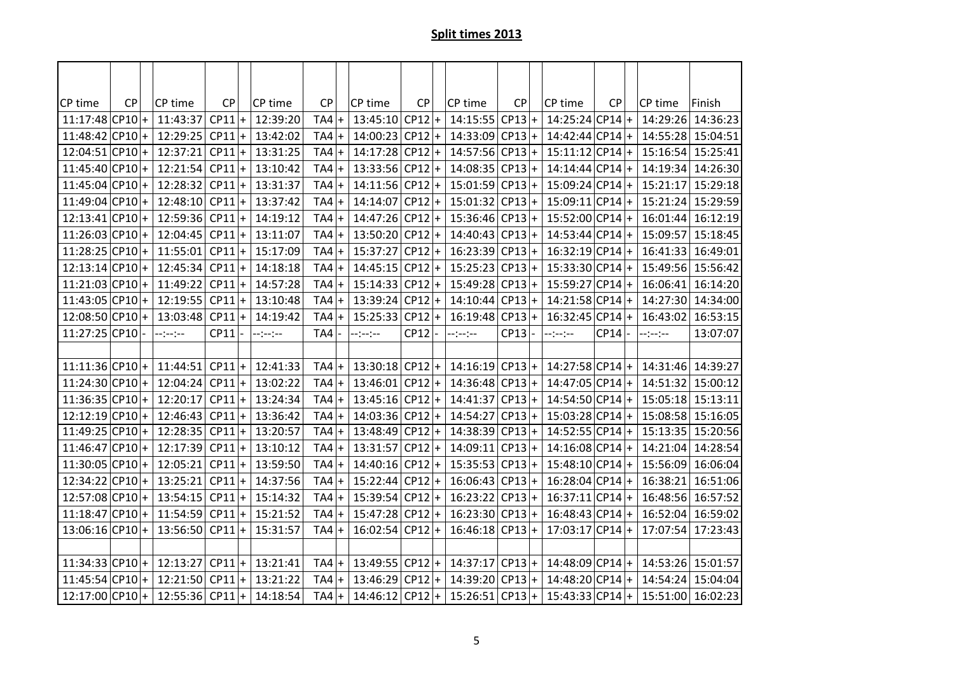| CP time           | <b>CP</b> |           | CP time           | CP       | CP time  | <b>CP</b> | CP time           | <b>CP</b> | CP time           | <b>CP</b> |                  | CP time           | <b>CP</b> | CP time                                               | Finish   |
|-------------------|-----------|-----------|-------------------|----------|----------|-----------|-------------------|-----------|-------------------|-----------|------------------|-------------------|-----------|-------------------------------------------------------|----------|
| $11:17:48$ CP10 + |           |           | 11:43:37          | $CP11$ + | 12:39:20 | $TA4$ +   | $13:45:10$ CP12 + |           | 14:15:55          | $CP13+$   |                  | $14:25:24$ CP14 + |           | 14:29:26                                              | 14:36:23 |
| $11:48:42$ CP10 + |           |           | 12:29:25          | $CP11$ + | 13:42:02 | $TA4$ +   | $14:00:23 CP12 +$ |           | $14:33:09$ CP13 + |           |                  | $14:42:44 CP14 +$ |           | 14:55:28                                              | 15:04:51 |
| $12:04:51 CP10 +$ |           |           | 12:37:21          | $CP11$ + | 13:31:25 | $TA4$ +   | 14:17:28          | $CP12$ +  | $14:57:56$ CP13 + |           |                  | $15:11:12 CP14 +$ |           | 15:16:54                                              | 15:25:41 |
| $11:45:40$ CP10 + |           |           | 12:21:54          | $CP11$ + | 13:10:42 | $TA4$ +   | $13:33:56$ CP12 + |           | $14:08:35 CP13 +$ |           |                  | $14:14:44 CP14 +$ |           | 14:19:34                                              | 14:26:30 |
| $11:45:04$ CP10 + |           |           | 12:28:32          | $CP11$ + | 13:31:37 | $TA4$ +   | 14:11:56          | $CP12$ +  | 15:01:59          | CP13      | $\ddot{}$        | $15:09:24 CP14 +$ |           | 15:21:17                                              | 15:29:18 |
| $11:49:04$ CP10 + |           |           | 12:48:10          | $CP11$ + | 13:37:42 | $TA4$ +   | $14:14:07$ CP12 + |           | $15:01:32$ CP13 + |           |                  | $15:09:11 CP14 +$ |           | 15:21:24                                              | 15:29:59 |
| $12:13:41$ CP10 + |           |           | 12:59:36          | $CP11$ + | 14:19:12 | $TA4$ +   | 14:47:26          | $CP12$ +  | $15:36:46$ CP13 + |           |                  | $15:52:00 CP14 +$ |           | 16:01:44                                              | 16:12:19 |
| $11:26:03$ CP10 + |           |           | 12:04:45          | $CP11$ + | 13:11:07 | $TA4$ +   | 13:50:20 CP12 +   |           | $14:40:43$ CP13 + |           |                  | $14:53:44 CP14 +$ |           | 15:09:57                                              | 15:18:45 |
| 11:28:25 CP10     |           | $\ddot{}$ | 11:55:01          | $CP11$ + | 15:17:09 | $TA4$ +   | 15:37:27          | $CP12$ +  | 16:23:39          | CP13      | $\boldsymbol{+}$ | $16:32:19 CP14 +$ |           | 16:41:33                                              | 16:49:01 |
| $12:13:14 CP10 +$ |           |           | 12:45:34          | $CP11$ + | 14:18:18 | $TA4$ +   | $14:45:15 CP12 +$ |           | $15:25:23$ CP13 + |           |                  | $15:33:30 CP14 +$ |           | 15:49:56                                              | 15:56:42 |
| $11:21:03$ CP10 + |           |           | 11:49:22          | $CP11$ + | 14:57:28 | $TA4$ +   | $15:14:33$ CP12 + |           | $15:49:28$ CP13 + |           |                  | $15:59:27 CP14 +$ |           | 16:06:41                                              | 16:14:20 |
| $11:43:05$ CP10 + |           |           | $12:19:55$ CP11 + |          | 13:10:48 | $TA4$ +   | 13:39:24 CP12 +   |           | $14:10:44$ CP13 + |           |                  | $14:21:58 CP14 +$ |           | 14:27:30                                              | 14:34:00 |
| $12:08:50$ CP10 + |           |           | 13:03:48          | $CP11$ + | 14:19:42 | $TA4$ +   | $15:25:33$ CP12 + |           | 16:19:48 CP13     |           | $\bf{+}$         | $16:32:45$ CP14 + |           | 16:43:02                                              | 16:53:15 |
| 11:27:25 CP10     |           |           | $-1 - 1 - 1 - 1$  | CP11     | --:--:-- | TA4       | $-1 - 1 - 1 - 1$  | CP12      | --:--:--          | CP13      |                  | --:--:--          | $CP14$ -  | $-(-1)^{n-1}$                                         | 13:07:07 |
|                   |           |           |                   |          |          |           |                   |           |                   |           |                  |                   |           |                                                       |          |
| $11:11:36 CP10 +$ |           |           | 11:44:51          | $CP11$ + | 12:41:33 | $TA4$ +   | $13:30:18$ CP12 + |           | $14:16:19$ CP13 + |           |                  | $14:27:58 CP14 +$ |           | 14:31:46                                              | 14:39:27 |
| $11:24:30 CP10 +$ |           |           | 12:04:24          | $CP11$ + | 13:02:22 | $TA4$ +   | $13:46:01 CP12 +$ |           | $14:36:48$ CP13 + |           |                  | $14:47:05 CP14 +$ |           | 14:51:32                                              | 15:00:12 |
| 11:36:35 CP10 +   |           |           | 12:20:17          | $CP11$ + | 13:24:34 | $TA4$ +   | $13:45:16$ CP12 + |           | $14:41:37$ CP13 + |           |                  | $14:54:50 CP14 +$ |           | 15:05:18                                              | 15:13:11 |
| $12:12:19$ CP10 + |           |           | $12:46:43$ CP11 + |          | 13:36:42 | $TA4$ +   | $14:03:36 CP12 +$ |           | $14:54:27$ CP13 + |           |                  | $15:03:28 CP14 +$ |           | 15:08:58                                              | 15:16:05 |
| 11:49:25 CP10 +   |           |           | $12:28:35$ CP11 + |          | 13:20:57 | $TA4$ +   | $13:48:49$ CP12 + |           | $14:38:39$ CP13 + |           |                  | $14:52:55 CP14 +$ |           | 15:13:35                                              | 15:20:56 |
| $11:46:47$ CP10 + |           |           | 12:17:39          | $CP11$ + | 13:10:12 | $TA4$ +   | $13:31:57$ CP12 + |           | 14:09:11          | CP13      | $\ddot{}$        | $14:16:08$ CP14 + |           | 14:21:04                                              | 14:28:54 |
| 11:30:05 CP10 +   |           |           | 12:05:21          | $CP11$ + | 13:59:50 | $TA4$ +   | $14:40:16$ CP12 + |           | $15:35:53$ CP13 + |           |                  | $15:48:10 CP14 +$ |           | 15:56:09                                              | 16:06:04 |
| 12:34:22 CP10 +   |           |           | 13:25:21          | $CP11$ + | 14:37:56 | $TA4$ +   | $15:22:44$ CP12 + |           | $16:06:43$ CP13 + |           |                  | $16:28:04 CP14 +$ |           | 16:38:21                                              | 16:51:06 |
| 12:57:08 CP10 +   |           |           | 13:54:15          | $CP11$ + | 15:14:32 | $TA4$ +   | $15:39:54$ CP12 + |           | $16:23:22$ CP13 + |           |                  | $16:37:11 CP14 +$ |           | 16:48:56                                              | 16:57:52 |
| $11:18:47 CP10 +$ |           |           | 11:54:59          | $CP11$ + | 15:21:52 | $TA4+$    | 15:47:28 CP12 +   |           | $16:23:30 CP13 +$ |           |                  | $16:48:43 CP14 +$ |           | 16:52:04                                              | 16:59:02 |
| $13:06:16$ CP10 + |           |           | 13:56:50          | $CP11$ + | 15:31:57 | $TA4$ +   | $16:02:54$ CP12 + |           | $16:46:18$ CP13 + |           |                  | $17:03:17$ CP14 + |           | 17:07:54                                              | 17:23:43 |
|                   |           |           |                   |          |          |           |                   |           |                   |           |                  |                   |           |                                                       |          |
| $11:34:33$ CP10 + |           |           | 12:13:27          | $CP11$ + | 13:21:41 | $TA4$ +   | 13:49:55 CP12 +   |           | $14:37:17$ CP13 + |           |                  | $14:48:09$ CP14 + |           | 14:53:26                                              | 15:01:57 |
| $11:45:54$ CP10 + |           |           | 12:21:50          | $CP11$ + | 13:21:22 | $TA4$ +   | $13:46:29$ CP12 + |           | $14:39:20 CP13 +$ |           |                  | $14:48:20 CP14 +$ |           | 14:54:24                                              | 15:04:04 |
| $12:17:00$ CP10 + |           |           | 12:55:36 CP11 +   |          | 14:18:54 | $TA4$ +   | 14:46:12 CP12 +   |           |                   |           |                  |                   |           | $15:26:51 CP13 +  15:43:33 CP14 +  15:51:00 16:02:23$ |          |